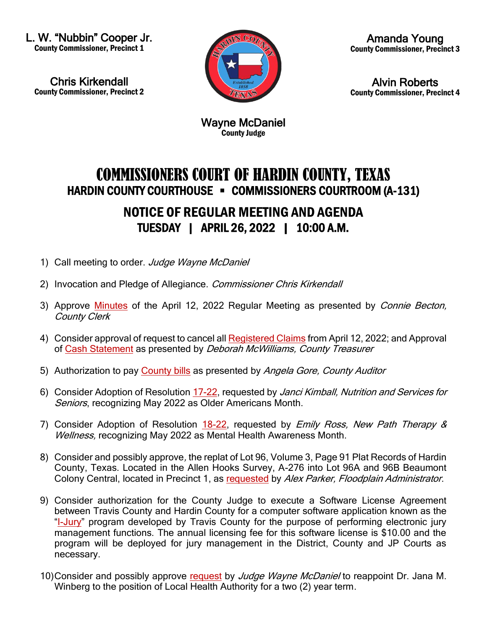L. W. "Nubbin" Cooper Jr. County Commissioner, Precinct 1

Chris Kirkendall County Commissioner, Precinct 2



Amanda Young County Commissioner, Precinct 3

Alvin Roberts County Commissioner, Precinct 4

Wayne McDaniel County Judge

## COMMISSIONERS COURT OF HARDIN COUNTY, TEXAS HARDIN COUNTY COURTHOUSE • COMMISSIONERS COURTROOM (A-131) NOTICE OF REGULAR MEETING AND AGENDA TUESDAY | APRIL 26, 2022 | 10:00 A.M.

- 1) Call meeting to order. Judge Wayne McDaniel
- 2) Invocation and Pledge of Allegiance. Commissioner Chris Kirkendall
- 3) Approve [Minutes](https://newtools.cira.state.tx.us/upload/page/10643/Agenda%20Documents/April%202022/Agenda%20and%20Minutes%20April%2012%202022.pdf) of the April 12, 2022 Regular Meeting as presented by Connie Becton, County Clerk
- 4) Consider approval of request to cancel all [Registered Claims](https://newtools.cira.state.tx.us/upload/page/10643/Agenda%20Documents/April%202022/Release%20of%20Liability%204%2026%2022%20Deborah%20McWilliams.PDF) from April 12, 2022; and Approval of [Cash Statement](https://newtools.cira.state.tx.us/upload/page/10643/Agenda%20Documents/April%202022/Cash%20Summary%20Report%204%2026%2022%20Deborah%20McWilliams.PDF) as presented by Deborah McWilliams, County Treasurer
- 5) Authorization to pay [County bills](https://newtools.cira.state.tx.us/upload/page/10643/Agenda%20Documents/April%202022/Check%20Claims%204%2026%2022.pdf) as presented by Angela Gore, County Auditor
- 6) Consider Adoption of Resolution [17-22,](https://newtools.cira.state.tx.us/upload/page/10643/Agenda%20Documents/April%202022/Resolution%2017-22%20Older%20Americans%20Month.pdf) requested by Janci Kimball, Nutrition and Services for Seniors, recognizing May 2022 as Older Americans Month.
- 7) Consider Adoption of Resolution [18-22,](https://newtools.cira.state.tx.us/upload/page/10643/Agenda%20Documents/April%202022/Resolution%2018-22%20Mental%20Health%20Awareness%20Month%202022.pdf) requested by *Emily Ross, New Path Therapy &* Wellness, recognizing May 2022 as Mental Health Awareness Month.
- 8) Consider and possibly approve, the replat of Lot 96, Volume 3, Page 91 Plat Records of Hardin County, Texas. Located in the Allen Hooks Survey, A-276 into Lot 96A and 96B Beaumont Colony Central, located in Precinct 1, as [requested](https://newtools.cira.state.tx.us/upload/page/10643/Agenda%20Documents/April%202022/Email%20from%20Alex%20Parker.pdf) by Alex Parker, Floodplain Administrator.
- 9) Consider authorization for the County Judge to execute a Software License Agreement between Travis County and Hardin County for a computer software application known as the "[I-Jury](https://newtools.cira.state.tx.us/upload/page/10643/Agenda%20Documents/April%202022/Software%20License%20Agreement%20with%20Travis%20County%20for%20IJury%20Program.pdf)" program developed by Travis County for the purpose of performing electronic jury management functions. The annual licensing fee for this software license is \$10.00 and the program will be deployed for jury management in the District, County and JP Courts as necessary.
- 10)Consider and possibly approve [request](https://newtools.cira.state.tx.us/upload/page/10643/Agenda%20Documents/April%202022/Email%20from%20Wayne%20McDaniel%20-%20Appointment%20of%20Health%20Authority.pdf) by *Judge Wayne McDaniel* to reappoint Dr. Jana M. Winberg to the position of Local Health Authority for a two (2) year term.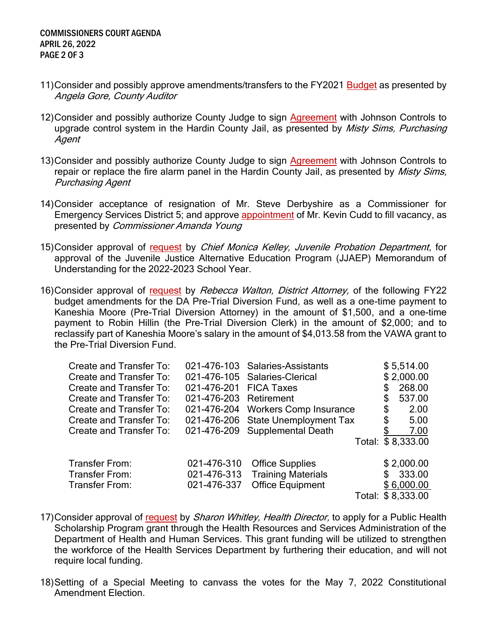- 11)Consider and possibly approve amendments/transfers to the FY2021 [Budget](https://newtools.cira.state.tx.us/upload/page/10643/Agenda%20Documents/April%202022/Email%20from%20Angela%20Gore.pdf) as presented by Angela Gore, County Auditor
- 12) Consider and possibly authorize County Judge to sign [Agreement](https://newtools.cira.state.tx.us/upload/page/10643/Agenda%20Documents/April%202022/Hardin%20County%20Jail%20Door%20%20Intercom%20Control%20V3.pdf) with Johnson Controls to upgrade control system in the Hardin County Jail, as presented by *Misty Sims, Purchasing* Agent
- 13)Consider and possibly authorize County Judge to sign [Agreement](https://newtools.cira.state.tx.us/upload/page/10643/Agenda%20Documents/April%202022/Hardin%20County%20Jail%20Fire%20System%20V3.pdf) with Johnson Controls to repair or replace the fire alarm panel in the Hardin County Jail, as presented by *Misty Sims*, Purchasing Agent
- 14)Consider acceptance of resignation of Mr. Steve Derbyshire as a Commissioner for Emergency Services District 5; and approve [appointment](https://newtools.cira.state.tx.us/upload/page/10643/Agenda%20Documents/April%202022/Email%20from%20Amanda%20Young%20with%20Letter%20from%20Cudd.pdf) of Mr. Kevin Cudd to fill vacancy, as presented by Commissioner Amanda Young
- 15)Consider approval of [request](https://newtools.cira.state.tx.us/upload/page/10643/Agenda%20Documents/April%202022/HCJJAEP%20MOU%20FY2022%202023.pdf) by Chief Monica Kelley, Juvenile Probation Department, for approval of the Juvenile Justice Alternative Education Program (JJAEP) Memorandum of Understanding for the 2022-2023 School Year.
- 16)Consider approval of [request](https://newtools.cira.state.tx.us/upload/page/10643/Email%20from%20Rebecca%20Walton.pdf) by Rebecca Walton, District Attorney, of the following FY22 budget amendments for the DA Pre-Trial Diversion Fund, as well as a one-time payment to Kaneshia Moore (Pre-Trial Diversion Attorney) in the amount of \$1,500, and a one-time payment to Robin Hillin (the Pre-Trial Diversion Clerk) in the amount of \$2,000; and to reclassify part of Kaneshia Moore's salary in the amount of \$4,013.58 from the VAWA grant to the Pre-Trial Diversion Fund.

| Create and Transfer To:        |                        | 021-476-103 Salaries-Assistants    | \$5,514.00        |
|--------------------------------|------------------------|------------------------------------|-------------------|
| <b>Create and Transfer To:</b> |                        | 021-476-105 Salaries-Clerical      | \$2,000.00        |
| Create and Transfer To:        | 021-476-201 FICA Taxes |                                    | \$<br>268.00      |
| Create and Transfer To:        | 021-476-203 Retirement |                                    | \$<br>537.00      |
| Create and Transfer To:        |                        | 021-476-204 Workers Comp Insurance | \$<br>2.00        |
| <b>Create and Transfer To:</b> |                        | 021-476-206 State Unemployment Tax | \$<br>5.00        |
| Create and Transfer To:        |                        | 021-476-209 Supplemental Death     | 7.00              |
|                                |                        |                                    | Total: \$8,333.00 |
|                                |                        |                                    |                   |
| Transfer From:                 | 021-476-310            | <b>Office Supplies</b>             | \$2,000.00        |
| Transfer From:                 | 021-476-313            | <b>Training Materials</b>          | \$<br>333.00      |
| Transfer From:                 | 021-476-337            | <b>Office Equipment</b>            | \$6,000.00        |
|                                |                        |                                    | Total: \$8,333.00 |

- 17) Consider approval of [request](https://newtools.cira.state.tx.us/upload/page/10643/Agenda%20Documents/April%202022/Public%20Health%20Scholarship%20Program.pdf) by *Sharon Whitley, Health Director*, to apply for a Public Health Scholarship Program grant through the Health Resources and Services Administration of the Department of Health and Human Services. This grant funding will be utilized to strengthen the workforce of the Health Services Department by furthering their education, and will not require local funding.
- 18)Setting of a Special Meeting to canvass the votes for the May 7, 2022 Constitutional Amendment Election.